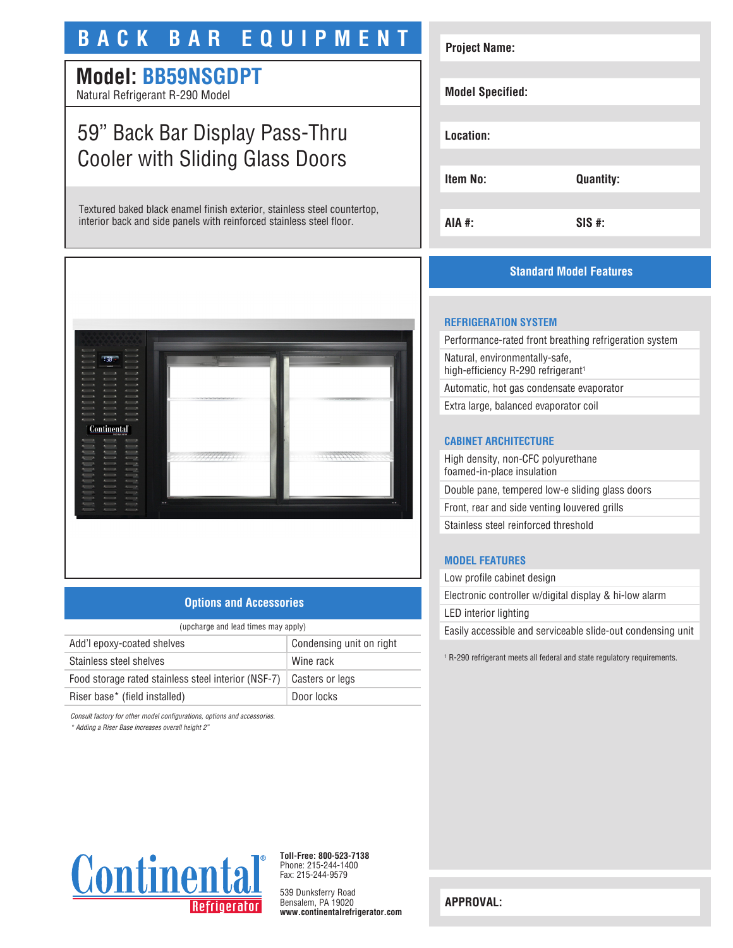# **BACK BAR EQUIPMENT**

# **Model: BB59NSGDPT**

Natural Refrigerant R-290 Model

# 59" Back Bar Display Pass-Thru Cooler with Sliding Glass Doors

Textured baked black enamel finish exterior, stainless steel countertop, interior back and side panels with reinforced stainless steel floor.



## **Options and Accessories**

| (upcharge and lead times may apply)                 |                          |  |
|-----------------------------------------------------|--------------------------|--|
| Add'l epoxy-coated shelves                          | Condensing unit on right |  |
| Stainless steel shelves                             | Wine rack                |  |
| Food storage rated stainless steel interior (NSF-7) | Casters or legs          |  |
| Riser base* (field installed)                       | Door locks               |  |

*Consult factory for other model configurations, options and accessories.*

*\* Adding a Riser Base increases overall height 2"*

# **Project Name: Model Specified: Location: Item No: Quantity: AIA #: SIS #:**

# **Standard Model Features**

## **REFRIGERATION SYSTEM**

Performance-rated front breathing refrigeration system Natural, environmentally-safe, high-efficiency R-290 refrigerant<sup>1</sup> Automatic, hot gas condensate evaporator

Extra large, balanced evaporator coil

#### **CABINET ARCHITECTURE**

High density, non-CFC polyurethane foamed-in-place insulation Double pane, tempered low-e sliding glass doors Front, rear and side venting louvered grills Stainless steel reinforced threshold

## **MODEL FEATURES**

Low profile cabinet design Electronic controller w/digital display & hi-low alarm LED interior lighting Easily accessible and serviceable slide-out condensing unit

1 R-290 refrigerant meets all federal and state regulatory requirements.



**Toll-Free: 800-523-7138** Phone: 215-244-1400 Fax: 215-244-9579

539 Dunksferry Road Bensalem, PA 19020 **www.continentalrefrigerator.com** 

**APPROVAL:**